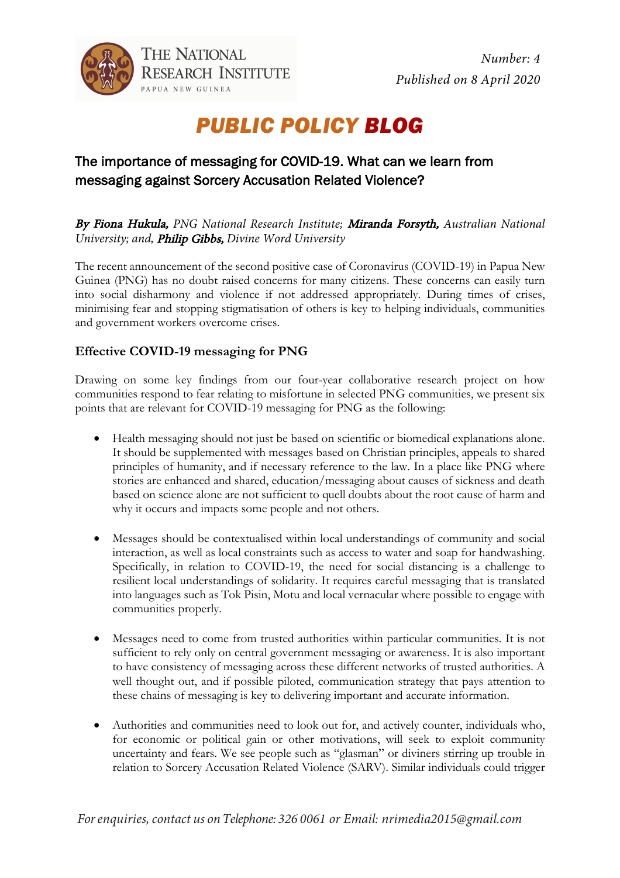

## *PUBLIC POLICY BLOG*

## The importance of messaging for COVID-19. What can we learn from messaging against Sorcery Accusation Related Violence?

By Fiona Hukula, *PNG National Research Institute;* Miranda Forsyth, *Australian National University; and,* Philip Gibbs, *Divine Word University*

The recent announcement of the second positive case of Coronavirus (COVID-19) in Papua New Guinea (PNG) has no doubt raised concerns for many citizens. These concerns can easily turn into social disharmony and violence if not addressed appropriately. During times of crises, minimising fear and stopping stigmatisation of others is key to helping individuals, communities and government workers overcome crises.

## **Effective COVID-19 messaging for PNG**

Drawing on some key findings from our four-year collaborative research project on how communities respond to fear relating to misfortune in selected PNG communities, we present six points that are relevant for COVID-19 messaging for PNG as the following:

- Health messaging should not just be based on scientific or biomedical explanations alone. It should be supplemented with messages based on Christian principles, appeals to shared principles of humanity, and if necessary reference to the law. In a place like PNG where stories are enhanced and shared, education/messaging about causes of sickness and death based on science alone are not sufficient to quell doubts about the root cause of harm and why it occurs and impacts some people and not others.
- Messages should be contextualised within local understandings of community and social interaction, as well as local constraints such as access to water and soap for handwashing. Specifically, in relation to COVID-19, the need for social distancing is a challenge to resilient local understandings of solidarity. It requires careful messaging that is translated into languages such as Tok Pisin, Motu and local vernacular where possible to engage with communities properly.
- Messages need to come from trusted authorities within particular communities. It is not sufficient to rely only on central government messaging or awareness. It is also important to have consistency of messaging across these different networks of trusted authorities. A well thought out, and if possible piloted, communication strategy that pays attention to these chains of messaging is key to delivering important and accurate information.
- Authorities and communities need to look out for, and actively counter, individuals who, for economic or political gain or other motivations, will seek to exploit community uncertainty and fears. We see people such as "glasman" or diviners stirring up trouble in relation to Sorcery Accusation Related Violence (SARV). Similar individuals could trigger